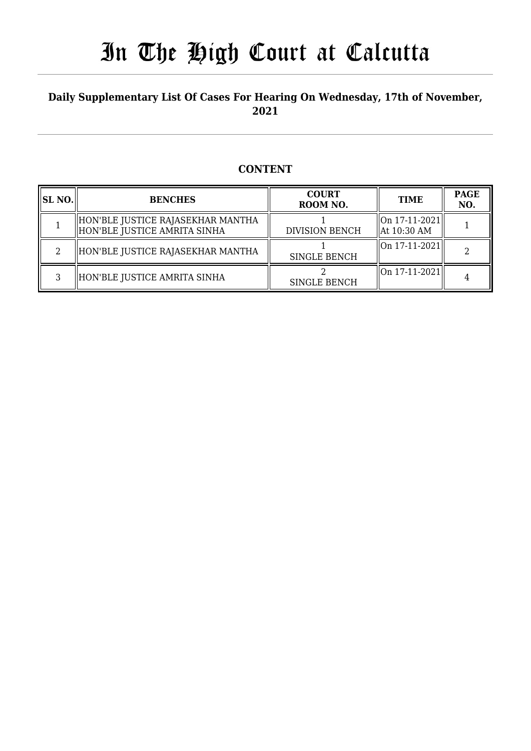## **Daily Supplementary List Of Cases For Hearing On Wednesday, 17th of November, 2021**

## **CONTENT**

| <b>SL NO.</b> | <b>BENCHES</b>                                                      | <b>COURT</b><br>ROOM NO. | <b>TIME</b>                      | <b>PAGE</b><br>NO. |
|---------------|---------------------------------------------------------------------|--------------------------|----------------------------------|--------------------|
|               | HON'BLE JUSTICE RAJASEKHAR MANTHA<br>  HON'BLE JUSTICE AMRITA SINHA | <b>DIVISION BENCH</b>    | On 17-11-2021  <br>  At 10:30 AM |                    |
|               | HON'BLE JUSTICE RAJASEKHAR MANTHA                                   | <b>SINGLE BENCH</b>      | $\ $ On 17-11-2021 $\ $          |                    |
|               | HON'BLE JUSTICE AMRITA SINHA                                        | <b>SINGLE BENCH</b>      | $\ $ On 17-11-2021 $\ $          |                    |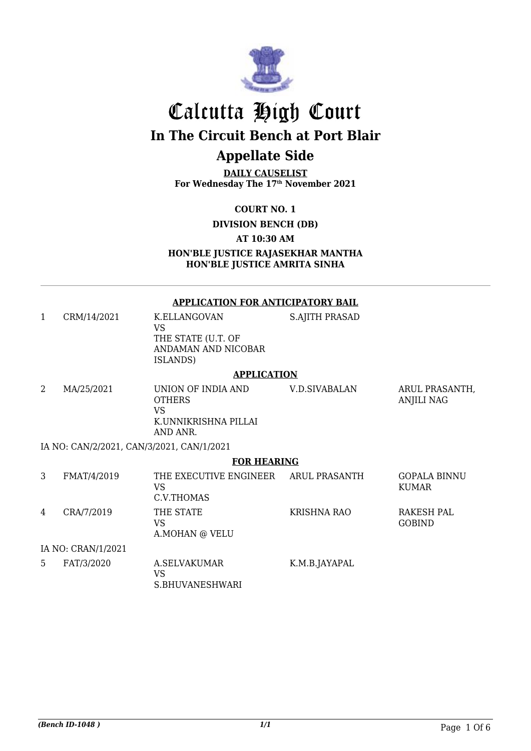

# Calcutta High Court **In The Circuit Bench at Port Blair**

# **Appellate Side**

**DAILY CAUSELIST For Wednesday The 17th November 2021**

**COURT NO. 1**

**DIVISION BENCH (DB)**

#### **AT 10:30 AM**

**HON'BLE JUSTICE RAJASEKHAR MANTHA HON'BLE JUSTICE AMRITA SINHA**

#### **APPLICATION FOR ANTICIPATORY BAIL**

1 CRM/14/2021 K.ELLANGOVAN VS THE STATE (U.T. OF ANDAMAN AND NICOBAR ISLANDS) S.AJITH PRASAD

#### **APPLICATION**

| MA/25/2021 | UNION OF INDIA AND<br><b>OTHERS</b><br>VS<br>K.UNNIKRISHNA PILLAI<br>AND ANR. | V.D.SIVABALAN | ARUL PRASANTH.<br>ANJILI NAG |
|------------|-------------------------------------------------------------------------------|---------------|------------------------------|
|            | IA NO: CAN/2/2021, CAN/3/2021, CAN/1/2021                                     |               |                              |

#### **FOR HEARING**

| 3  | FMAT/4/2019        | THE EXECUTIVE ENGINEER<br>VS<br>C.V.THOMAS | ARUL PRASANTH | <b>GOPALA BINNU</b><br>KUMAR |
|----|--------------------|--------------------------------------------|---------------|------------------------------|
| 4  | CRA/7/2019         | THE STATE<br>VS<br>A.MOHAN @ VELU          | KRISHNA RAO   | RAKESH PAL<br><b>GOBIND</b>  |
|    | IA NO: CRAN/1/2021 |                                            |               |                              |
| 5. | FAT/3/2020         | A.SELVAKUMAR<br>VS<br>S.BHUVANESHWARI      | K.M.B.JAYAPAL |                              |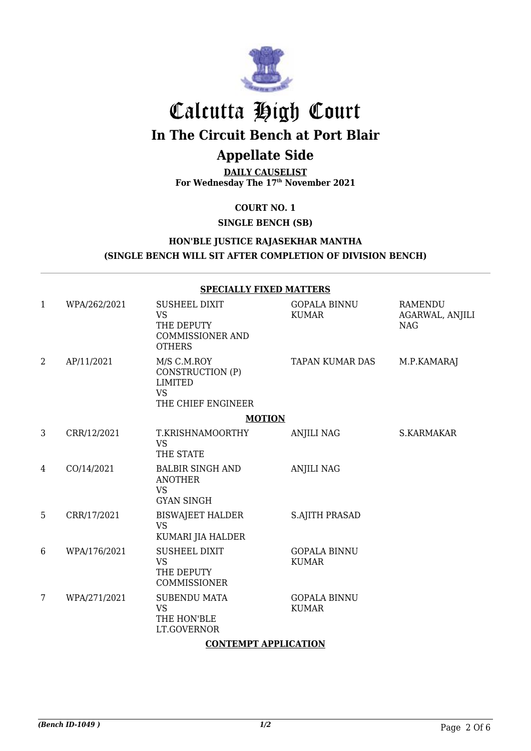

# Calcutta High Court

**In The Circuit Bench at Port Blair**

# **Appellate Side**

**DAILY CAUSELIST For Wednesday The 17th November 2021**

**COURT NO. 1**

**SINGLE BENCH (SB)**

## **HON'BLE JUSTICE RAJASEKHAR MANTHA (SINGLE BENCH WILL SIT AFTER COMPLETION OF DIVISION BENCH)**

|              |              | <b>SPECIALLY FIXED MATTERS</b>                                                              |                                     |                                                 |
|--------------|--------------|---------------------------------------------------------------------------------------------|-------------------------------------|-------------------------------------------------|
| $\mathbf{1}$ | WPA/262/2021 | <b>SUSHEEL DIXIT</b><br><b>VS</b><br>THE DEPUTY<br><b>COMMISSIONER AND</b><br><b>OTHERS</b> | <b>GOPALA BINNU</b><br><b>KUMAR</b> | <b>RAMENDU</b><br>AGARWAL, ANJILI<br><b>NAG</b> |
| 2            | AP/11/2021   | M/S C.M.ROY<br>CONSTRUCTION (P)<br><b>LIMITED</b><br><b>VS</b><br>THE CHIEF ENGINEER        | TAPAN KUMAR DAS                     | M.P.KAMARAJ                                     |
|              |              | <b>MOTION</b>                                                                               |                                     |                                                 |
| 3            | CRR/12/2021  | T.KRISHNAMOORTHY<br><b>VS</b><br>THE STATE                                                  | <b>ANJILI NAG</b>                   | S.KARMAKAR                                      |
| 4            | CO/14/2021   | <b>BALBIR SINGH AND</b><br><b>ANOTHER</b><br><b>VS</b><br><b>GYAN SINGH</b>                 | <b>ANJILI NAG</b>                   |                                                 |
| 5            | CRR/17/2021  | <b>BISWAJEET HALDER</b><br><b>VS</b><br>KUMARI JIA HALDER                                   | <b>S.AJITH PRASAD</b>               |                                                 |
| 6            | WPA/176/2021 | <b>SUSHEEL DIXIT</b><br><b>VS</b><br>THE DEPUTY<br>COMMISSIONER                             | <b>GOPALA BINNU</b><br><b>KUMAR</b> |                                                 |
| 7            | WPA/271/2021 | <b>SUBENDU MATA</b><br><b>VS</b><br>THE HON'BLE<br>LT.GOVERNOR                              | <b>GOPALA BINNU</b><br><b>KUMAR</b> |                                                 |

### **CONTEMPT APPLICATION**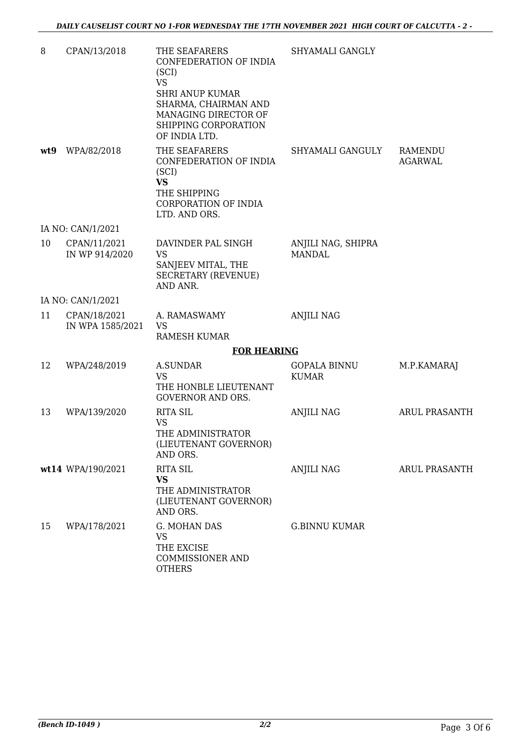| 8   | CPAN/13/2018                     | THE SEAFARERS<br>CONFEDERATION OF INDIA<br>(SCI)<br><b>VS</b><br><b>SHRI ANUP KUMAR</b><br>SHARMA, CHAIRMAN AND<br>MANAGING DIRECTOR OF<br>SHIPPING CORPORATION<br>OF INDIA LTD. | SHYAMALI GANGLY                     |                           |
|-----|----------------------------------|----------------------------------------------------------------------------------------------------------------------------------------------------------------------------------|-------------------------------------|---------------------------|
| wt9 | WPA/82/2018                      | THE SEAFARERS<br>CONFEDERATION OF INDIA<br>(SCI)<br><b>VS</b><br>THE SHIPPING<br>CORPORATION OF INDIA<br>LTD. AND ORS.                                                           | SHYAMALI GANGULY                    | RAMENDU<br><b>AGARWAL</b> |
|     | IA NO: CAN/1/2021                |                                                                                                                                                                                  |                                     |                           |
| 10  | CPAN/11/2021<br>IN WP 914/2020   | DAVINDER PAL SINGH<br><b>VS</b><br>SANJEEV MITAL, THE<br><b>SECRETARY (REVENUE)</b><br>AND ANR.                                                                                  | ANJILI NAG, SHIPRA<br><b>MANDAL</b> |                           |
|     | IA NO: CAN/1/2021                |                                                                                                                                                                                  |                                     |                           |
| 11  | CPAN/18/2021<br>IN WPA 1585/2021 | A. RAMASWAMY<br><b>VS</b><br><b>RAMESH KUMAR</b>                                                                                                                                 | <b>ANJILI NAG</b>                   |                           |
|     |                                  | <b>FOR HEARING</b>                                                                                                                                                               |                                     |                           |
| 12  | WPA/248/2019                     | A.SUNDAR<br><b>VS</b><br>THE HONBLE LIEUTENANT<br><b>GOVERNOR AND ORS.</b>                                                                                                       | <b>GOPALA BINNU</b><br><b>KUMAR</b> | M.P.KAMARAJ               |
| 13  | WPA/139/2020                     | <b>RITA SIL</b><br><b>VS</b><br>THE ADMINISTRATOR<br>(LIEUTENANT GOVERNOR)<br>AND ORS.                                                                                           | <b>ANJILI NAG</b>                   | ARUL PRASANTH             |
|     | wt14 WPA/190/2021                | <b>RITA SIL</b><br>VS<br>THE ADMINISTRATOR<br>(LIEUTENANT GOVERNOR)<br>AND ORS.                                                                                                  | <b>ANJILI NAG</b>                   | ARUL PRASANTH             |
| 15  | WPA/178/2021                     | G. MOHAN DAS<br><b>VS</b><br>THE EXCISE<br>COMMISSIONER AND<br><b>OTHERS</b>                                                                                                     | <b>G.BINNU KUMAR</b>                |                           |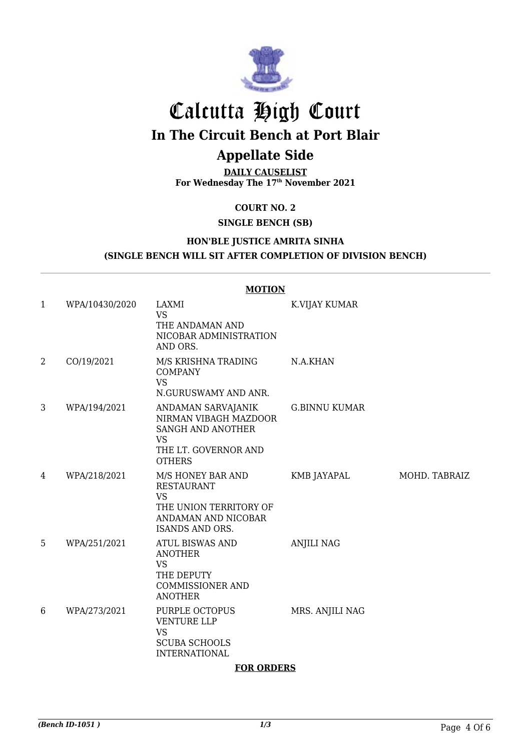

# Calcutta High Court

# **In The Circuit Bench at Port Blair**

## **Appellate Side**

**DAILY CAUSELIST For Wednesday The 17th November 2021**

**COURT NO. 2**

### **SINGLE BENCH (SB)**

### **HON'BLE JUSTICE AMRITA SINHA (SINGLE BENCH WILL SIT AFTER COMPLETION OF DIVISION BENCH)**

#### **MOTION** 1 WPA/10430/2020 LAXMI VS THE ANDAMAN AND NICOBAR ADMINISTRATION AND ORS. K.VIJAY KUMAR 2 CO/19/2021 M/S KRISHNA TRADING **COMPANY** VS N.GURUSWAMY AND ANR. N.A.KHAN 3 WPA/194/2021 ANDAMAN SARVAJANIK NIRMAN VIBAGH MAZDOOR SANGH AND ANOTHER VS THE LT. GOVERNOR AND **OTHERS** G.BINNU KUMAR 4 WPA/218/2021 M/S HONEY BAR AND RESTAURANT VS THE UNION TERRITORY OF ANDAMAN AND NICOBAR ISANDS AND ORS. KMB JAYAPAL MOHD. TABRAIZ 5 WPA/251/2021 ATUL BISWAS AND ANOTHER VS THE DEPUTY COMMISSIONER AND ANOTHER ANJILI NAG 6 WPA/273/2021 PURPLE OCTOPUS VENTURE LLP VS SCUBA SCHOOLS INTERNATIONAL MRS. ANJILI NAG

#### **FOR ORDERS**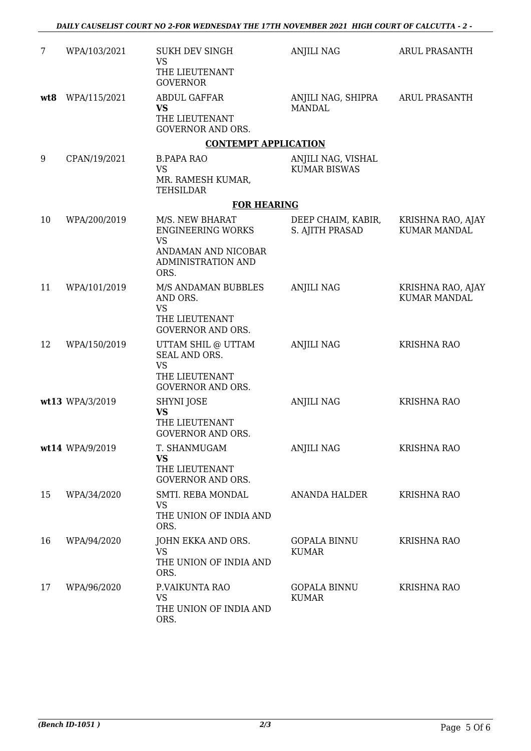| 7   | WPA/103/2021    | SUKH DEV SINGH<br><b>VS</b><br>THE LIEUTENANT<br><b>GOVERNOR</b>                                                     | <b>ANJILI NAG</b>                         | <b>ARUL PRASANTH</b>                     |
|-----|-----------------|----------------------------------------------------------------------------------------------------------------------|-------------------------------------------|------------------------------------------|
| wt8 | WPA/115/2021    | <b>ABDUL GAFFAR</b><br><b>VS</b><br>THE LIEUTENANT<br><b>GOVERNOR AND ORS.</b>                                       | ANJILI NAG, SHIPRA<br><b>MANDAL</b>       | <b>ARUL PRASANTH</b>                     |
|     |                 | <b>CONTEMPT APPLICATION</b>                                                                                          |                                           |                                          |
| 9   | CPAN/19/2021    | <b>B.PAPA RAO</b><br><b>VS</b><br>MR. RAMESH KUMAR,<br>TEHSILDAR                                                     | ANJILI NAG, VISHAL<br><b>KUMAR BISWAS</b> |                                          |
|     |                 | <b>FOR HEARING</b>                                                                                                   |                                           |                                          |
| 10  | WPA/200/2019    | M/S. NEW BHARAT<br><b>ENGINEERING WORKS</b><br><b>VS</b><br>ANDAMAN AND NICOBAR<br><b>ADMINISTRATION AND</b><br>ORS. | DEEP CHAIM, KABIR,<br>S. AJITH PRASAD     | KRISHNA RAO, AJAY<br><b>KUMAR MANDAL</b> |
| 11  | WPA/101/2019    | M/S ANDAMAN BUBBLES<br>AND ORS.<br><b>VS</b><br>THE LIEUTENANT<br><b>GOVERNOR AND ORS.</b>                           | <b>ANJILI NAG</b>                         | KRISHNA RAO, AJAY<br><b>KUMAR MANDAL</b> |
| 12  | WPA/150/2019    | UTTAM SHIL @ UTTAM<br>SEAL AND ORS.<br><b>VS</b><br>THE LIEUTENANT<br><b>GOVERNOR AND ORS.</b>                       | <b>ANJILI NAG</b>                         | <b>KRISHNA RAO</b>                       |
|     | wt13 WPA/3/2019 | SHYNI JOSE<br><b>VS</b><br>THE LIEUTENANT<br><b>GOVERNOR AND ORS.</b>                                                | <b>ANJILI NAG</b>                         | <b>KRISHNA RAO</b>                       |
|     | wt14 WPA/9/2019 | T. SHANMUGAM<br><b>VS</b><br>THE LIEUTENANT<br><b>GOVERNOR AND ORS.</b>                                              | <b>ANJILI NAG</b>                         | <b>KRISHNA RAO</b>                       |
| 15  | WPA/34/2020     | SMTI. REBA MONDAL<br><b>VS</b><br>THE UNION OF INDIA AND<br>ORS.                                                     | ANANDA HALDER                             | <b>KRISHNA RAO</b>                       |
| 16  | WPA/94/2020     | JOHN EKKA AND ORS.<br>VS<br>THE UNION OF INDIA AND<br>ORS.                                                           | <b>GOPALA BINNU</b><br><b>KUMAR</b>       | <b>KRISHNA RAO</b>                       |
| 17  | WPA/96/2020     | P.VAIKUNTA RAO<br><b>VS</b><br>THE UNION OF INDIA AND<br>ORS.                                                        | <b>GOPALA BINNU</b><br><b>KUMAR</b>       | <b>KRISHNA RAO</b>                       |